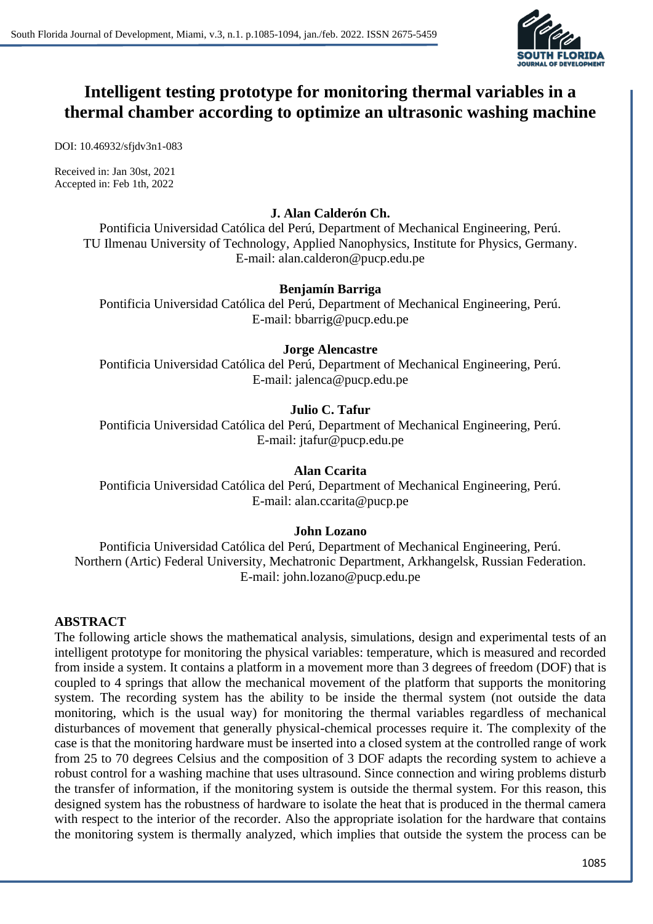

# **Intelligent testing prototype for monitoring thermal variables in a thermal chamber according to optimize an ultrasonic washing machine**

DOI: 10.46932/sfjdv3n1-083

Received in: Jan 30st, 2021 Accepted in: Feb 1th, 2022

# **J. Alan Calderón Ch.**

Pontificia Universidad Católica del Perú, Department of Mechanical Engineering, Perú. TU Ilmenau University of Technology, Applied Nanophysics, Institute for Physics, Germany. E-mail: alan.calderon@pucp.edu.pe

### **Benjamín Barriga**

Pontificia Universidad Católica del Perú, Department of Mechanical Engineering, Perú. E-mail: bbarrig@pucp.edu.pe

## **Jorge Alencastre**

Pontificia Universidad Católica del Perú, Department of Mechanical Engineering, Perú. E-mail: jalenca@pucp.edu.pe

# **Julio C. Tafur**

Pontificia Universidad Católica del Perú, Department of Mechanical Engineering, Perú. E-mail: jtafur@pucp.edu.pe

### **Alan Ccarita**

Pontificia Universidad Católica del Perú, Department of Mechanical Engineering, Perú. E-mail: alan.ccarita@pucp.pe

### **John Lozano**

Pontificia Universidad Católica del Perú, Department of Mechanical Engineering, Perú. Northern (Artic) Federal University, Mechatronic Department, Arkhangelsk, Russian Federation. E-mail: john.lozano@pucp.edu.pe

### **ABSTRACT**

The following article shows the mathematical analysis, simulations, design and experimental tests of an intelligent prototype for monitoring the physical variables: temperature, which is measured and recorded from inside a system. It contains a platform in a movement more than 3 degrees of freedom (DOF) that is coupled to 4 springs that allow the mechanical movement of the platform that supports the monitoring system. The recording system has the ability to be inside the thermal system (not outside the data monitoring, which is the usual way) for monitoring the thermal variables regardless of mechanical disturbances of movement that generally physical-chemical processes require it. The complexity of the case is that the monitoring hardware must be inserted into a closed system at the controlled range of work from 25 to 70 degrees Celsius and the composition of 3 DOF adapts the recording system to achieve a robust control for a washing machine that uses ultrasound. Since connection and wiring problems disturb the transfer of information, if the monitoring system is outside the thermal system. For this reason, this designed system has the robustness of hardware to isolate the heat that is produced in the thermal camera with respect to the interior of the recorder. Also the appropriate isolation for the hardware that contains the monitoring system is thermally analyzed, which implies that outside the system the process can be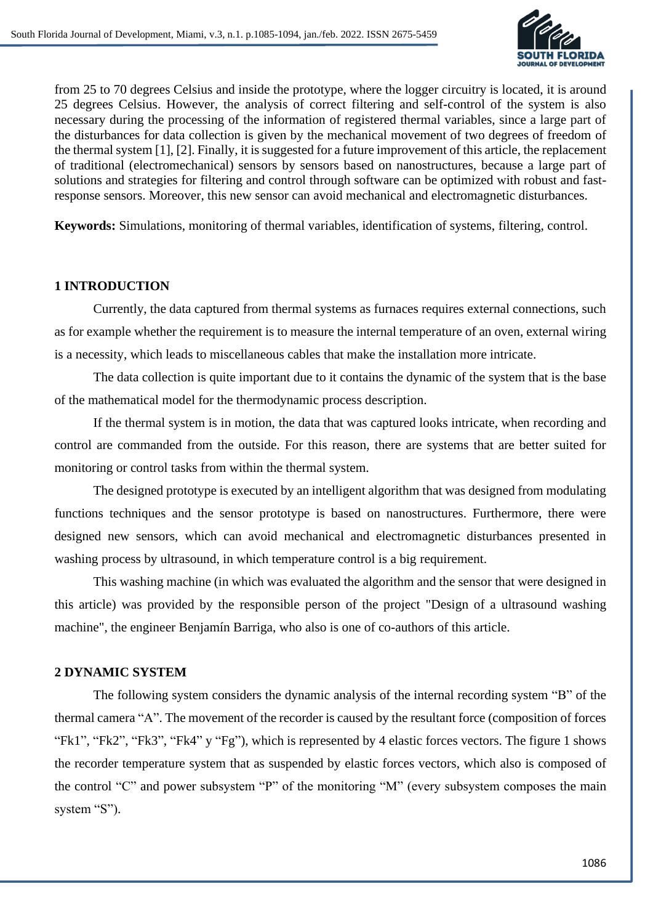

from 25 to 70 degrees Celsius and inside the prototype, where the logger circuitry is located, it is around 25 degrees Celsius. However, the analysis of correct filtering and self-control of the system is also necessary during the processing of the information of registered thermal variables, since a large part of the disturbances for data collection is given by the mechanical movement of two degrees of freedom of the thermal system [1], [2]. Finally, it is suggested for a future improvement of this article, the replacement of traditional (electromechanical) sensors by sensors based on nanostructures, because a large part of solutions and strategies for filtering and control through software can be optimized with robust and fastresponse sensors. Moreover, this new sensor can avoid mechanical and electromagnetic disturbances.

**Keywords:** Simulations, monitoring of thermal variables, identification of systems, filtering, control.

### **1 INTRODUCTION**

Currently, the data captured from thermal systems as furnaces requires external connections, such as for example whether the requirement is to measure the internal temperature of an oven, external wiring is a necessity, which leads to miscellaneous cables that make the installation more intricate.

The data collection is quite important due to it contains the dynamic of the system that is the base of the mathematical model for the thermodynamic process description.

If the thermal system is in motion, the data that was captured looks intricate, when recording and control are commanded from the outside. For this reason, there are systems that are better suited for monitoring or control tasks from within the thermal system.

The designed prototype is executed by an intelligent algorithm that was designed from modulating functions techniques and the sensor prototype is based on nanostructures. Furthermore, there were designed new sensors, which can avoid mechanical and electromagnetic disturbances presented in washing process by ultrasound, in which temperature control is a big requirement.

This washing machine (in which was evaluated the algorithm and the sensor that were designed in this article) was provided by the responsible person of the project "Design of a ultrasound washing machine", the engineer Benjamín Barriga, who also is one of co-authors of this article.

#### **2 DYNAMIC SYSTEM**

The following system considers the dynamic analysis of the internal recording system "B" of the thermal camera "A". The movement of the recorder is caused by the resultant force (composition of forces "Fk1", "Fk2", "Fk3", "Fk4" y "Fg"), which is represented by 4 elastic forces vectors. The figure 1 shows the recorder temperature system that as suspended by elastic forces vectors, which also is composed of the control "C" and power subsystem "P" of the monitoring "M" (every subsystem composes the main system "S").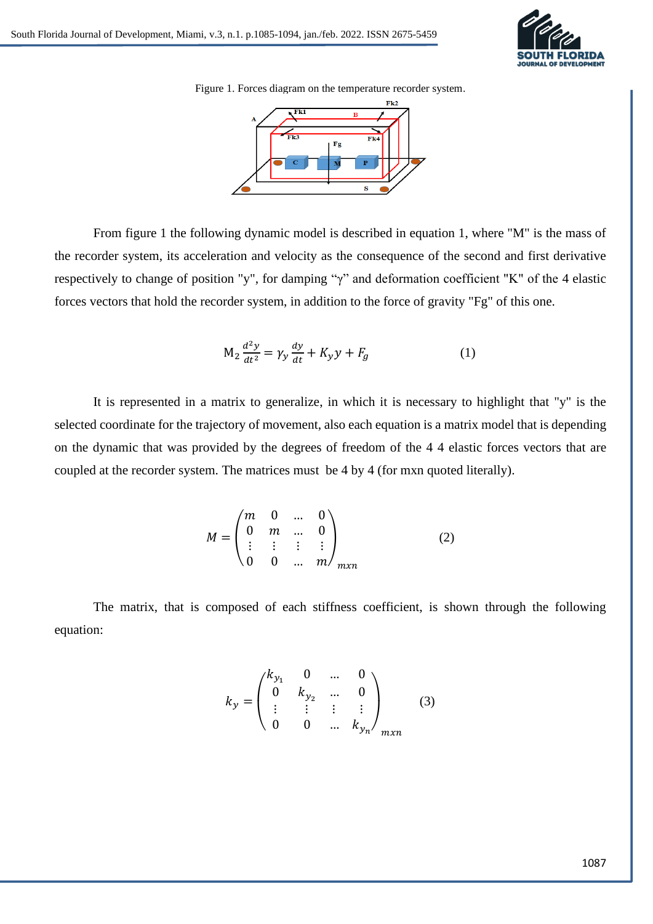

Figure 1. Forces diagram on the temperature recorder system.



From figure 1 the following dynamic model is described in equation 1, where "M" is the mass of the recorder system, its acceleration and velocity as the consequence of the second and first derivative respectively to change of position "y", for damping "γ" and deformation coefficient "K" of the 4 elastic forces vectors that hold the recorder system, in addition to the force of gravity "Fg" of this one.

$$
M_2 \frac{d^2 y}{dt^2} = \gamma_y \frac{dy}{dt} + K_y y + F_g \tag{1}
$$

It is represented in a matrix to generalize, in which it is necessary to highlight that "y" is the selected coordinate for the trajectory of movement, also each equation is a matrix model that is depending on the dynamic that was provided by the degrees of freedom of the 4 4 elastic forces vectors that are coupled at the recorder system. The matrices must be 4 by 4 (for mxn quoted literally).

$$
M = \begin{pmatrix} m & 0 & \dots & 0 \\ 0 & m & \dots & 0 \\ \vdots & \vdots & \vdots & \vdots \\ 0 & 0 & \dots & m \end{pmatrix}_{mxn}
$$
 (2)

The matrix, that is composed of each stiffness coefficient, is shown through the following equation:

$$
k_{y} = \begin{pmatrix} k_{y_{1}} & 0 & \dots & 0 \\ 0 & k_{y_{2}} & \dots & 0 \\ \vdots & \vdots & \vdots & \vdots \\ 0 & 0 & \dots & k_{y_{n}} \end{pmatrix}_{mxn}
$$
 (3)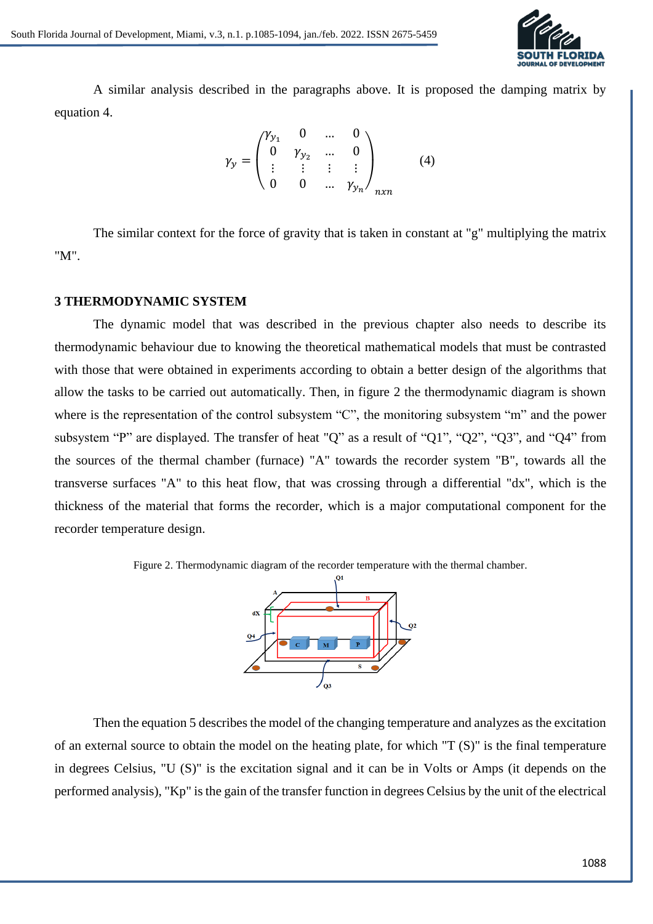

A similar analysis described in the paragraphs above. It is proposed the damping matrix by equation 4.

$$
\gamma_{y} = \begin{pmatrix} \gamma_{y_1} & 0 & \dots & 0 \\ 0 & \gamma_{y_2} & \dots & 0 \\ \vdots & \vdots & \vdots & \vdots \\ 0 & 0 & \dots & \gamma_{y_n} \end{pmatrix}_{n \times n}
$$
 (4)

The similar context for the force of gravity that is taken in constant at "g" multiplying the matrix "M".

#### **3 THERMODYNAMIC SYSTEM**

The dynamic model that was described in the previous chapter also needs to describe its thermodynamic behaviour due to knowing the theoretical mathematical models that must be contrasted with those that were obtained in experiments according to obtain a better design of the algorithms that allow the tasks to be carried out automatically. Then, in figure 2 the thermodynamic diagram is shown where is the representation of the control subsystem "C", the monitoring subsystem "m" and the power subsystem "P" are displayed. The transfer of heat "Q" as a result of "Q1", "Q2", "Q3", and "Q4" from the sources of the thermal chamber (furnace) "A" towards the recorder system "B", towards all the transverse surfaces "A" to this heat flow, that was crossing through a differential "dx", which is the thickness of the material that forms the recorder, which is a major computational component for the recorder temperature design.





Then the equation 5 describes the model of the changing temperature and analyzes as the excitation of an external source to obtain the model on the heating plate, for which "T (S)" is the final temperature in degrees Celsius, "U (S)" is the excitation signal and it can be in Volts or Amps (it depends on the performed analysis), "Kp" is the gain of the transfer function in degrees Celsius by the unit of the electrical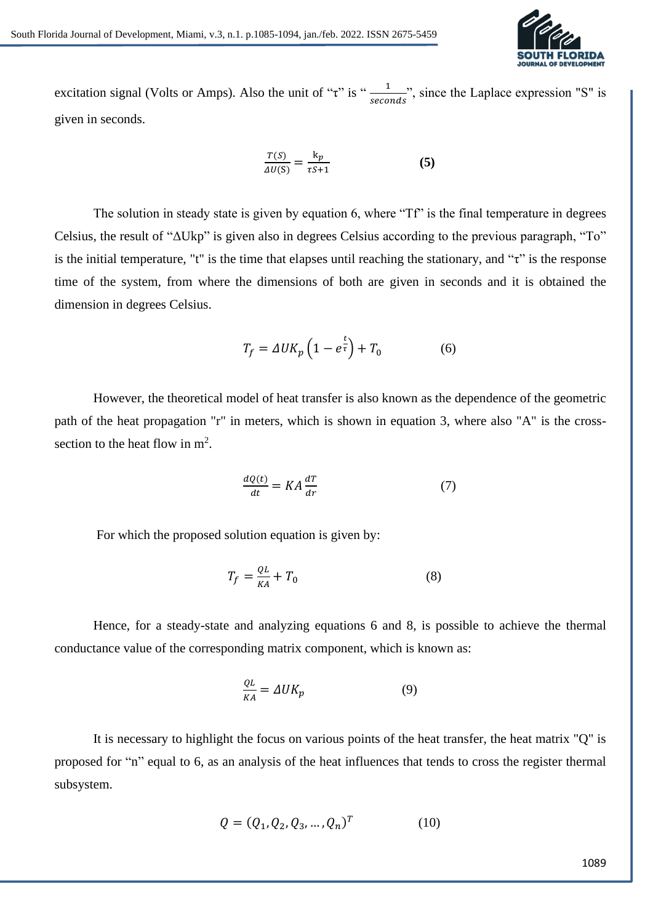

excitation signal (Volts or Amps). Also the unit of " $\tau$ " is " $\frac{1}{seconds}$ ", since the Laplace expression "S" is given in seconds.

$$
\frac{T(S)}{\Delta U(S)} = \frac{k_p}{\tau S + 1} \tag{5}
$$

The solution in steady state is given by equation 6, where "Tf" is the final temperature in degrees Celsius, the result of "ΔUkp" is given also in degrees Celsius according to the previous paragraph, "To" is the initial temperature, "t" is the time that elapses until reaching the stationary, and " $\tau$ " is the response time of the system, from where the dimensions of both are given in seconds and it is obtained the dimension in degrees Celsius.

$$
T_f = \Delta U K_p \left( 1 - e^{\frac{t}{\tau}} \right) + T_0 \tag{6}
$$

However, the theoretical model of heat transfer is also known as the dependence of the geometric path of the heat propagation "r" in meters, which is shown in equation 3, where also "A" is the crosssection to the heat flow in  $m^2$ .

$$
\frac{dQ(t)}{dt} = KA\frac{dT}{dr} \tag{7}
$$

For which the proposed solution equation is given by:

$$
T_f = \frac{QL}{KA} + T_0 \tag{8}
$$

Hence, for a steady-state and analyzing equations 6 and 8, is possible to achieve the thermal conductance value of the corresponding matrix component, which is known as:

$$
\frac{QL}{KA} = \Delta U K_p \tag{9}
$$

It is necessary to highlight the focus on various points of the heat transfer, the heat matrix "Q" is proposed for "n" equal to 6, as an analysis of the heat influences that tends to cross the register thermal subsystem.

$$
Q = (Q_1, Q_2, Q_3, ..., Q_n)^T
$$
 (10)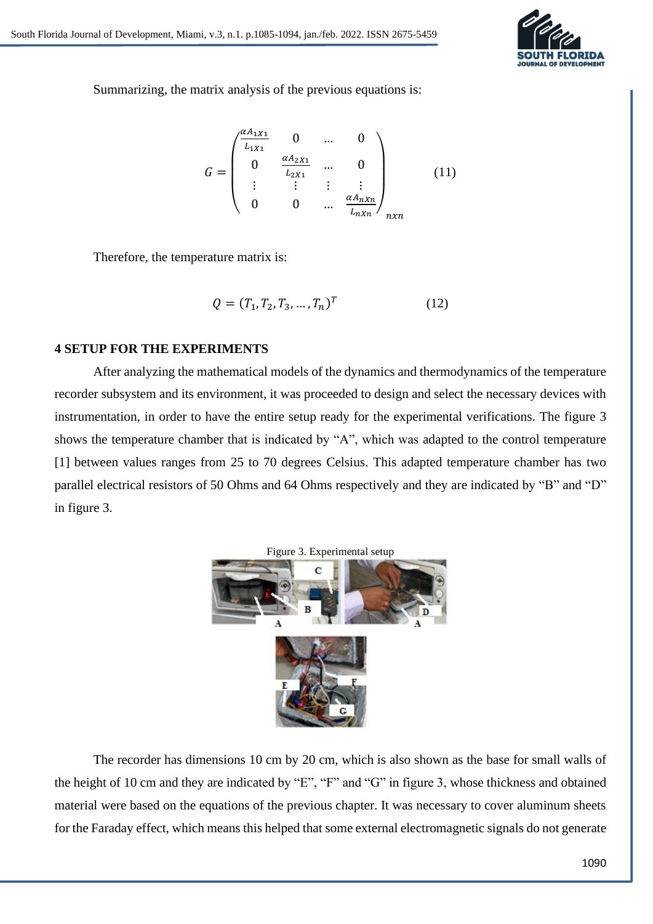

Summarizing, the matrix analysis of the previous equations is:

$$
G = \begin{pmatrix} \frac{\alpha A_1 x_1}{L_1 x_1} & 0 & \dots & 0 \\ 0 & \frac{\alpha A_2 x_1}{L_2 x_1} & \dots & 0 \\ \vdots & \vdots & \vdots & \vdots \\ 0 & 0 & \dots & \frac{\alpha A_n x_n}{L_n x_n} \end{pmatrix}_{n x n}
$$
 (11)

Therefore, the temperature matrix is:

$$
Q = (T_1, T_2, T_3, \dots, T_n)^T
$$
 (12)

### **4 SETUP FOR THE EXPERIMENTS**

After analyzing the mathematical models of the dynamics and thermodynamics of the temperature recorder subsystem and its environment, it was proceeded to design and select the necessary devices with instrumentation, in order to have the entire setup ready for the experimental verifications. The figure 3 shows the temperature chamber that is indicated by "A", which was adapted to the control temperature [1] between values ranges from 25 to 70 degrees Celsius. This adapted temperature chamber has two parallel electrical resistors of 50 Ohms and 64 Ohms respectively and they are indicated by "B" and "D" in figure 3.



The recorder has dimensions 10 cm by 20 cm, which is also shown as the base for small walls of the height of 10 cm and they are indicated by "E", "F" and "G" in figure 3, whose thickness and obtained material were based on the equations of the previous chapter. It was necessary to cover aluminum sheets for the Faraday effect, which means this helped that some external electromagnetic signals do not generate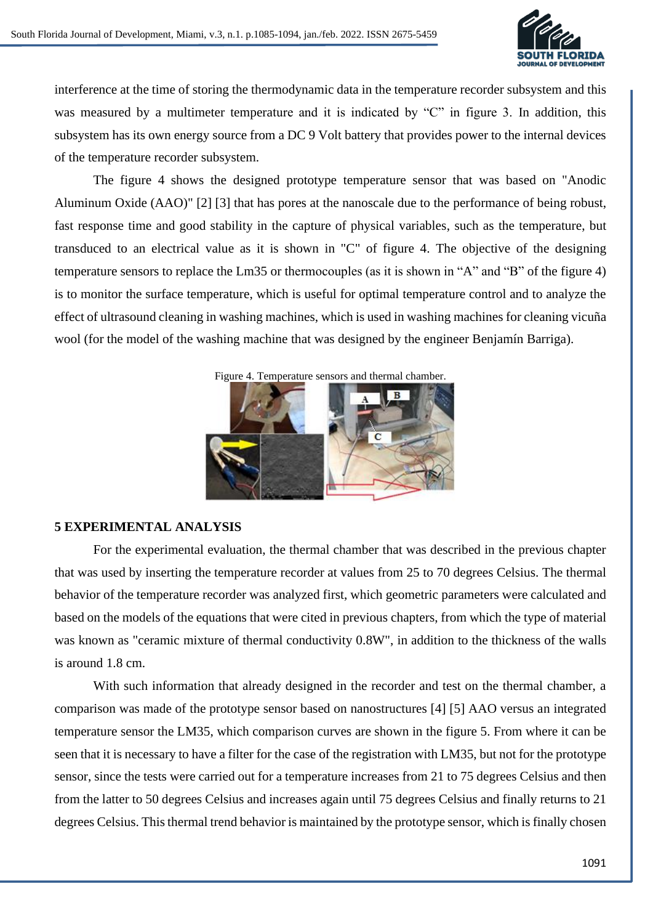

interference at the time of storing the thermodynamic data in the temperature recorder subsystem and this was measured by a multimeter temperature and it is indicated by "C" in figure 3. In addition, this subsystem has its own energy source from a DC 9 Volt battery that provides power to the internal devices of the temperature recorder subsystem.

The figure 4 shows the designed prototype temperature sensor that was based on "Anodic Aluminum Oxide (AAO)" [2] [3] that has pores at the nanoscale due to the performance of being robust, fast response time and good stability in the capture of physical variables, such as the temperature, but transduced to an electrical value as it is shown in "C" of figure 4. The objective of the designing temperature sensors to replace the Lm35 or thermocouples (as it is shown in "A" and "B" of the figure 4) is to monitor the surface temperature, which is useful for optimal temperature control and to analyze the effect of ultrasound cleaning in washing machines, which is used in washing machines for cleaning vicuña wool (for the model of the washing machine that was designed by the engineer Benjamín Barriga).



### **5 EXPERIMENTAL ANALYSIS**

For the experimental evaluation, the thermal chamber that was described in the previous chapter that was used by inserting the temperature recorder at values from 25 to 70 degrees Celsius. The thermal behavior of the temperature recorder was analyzed first, which geometric parameters were calculated and based on the models of the equations that were cited in previous chapters, from which the type of material was known as "ceramic mixture of thermal conductivity 0.8W", in addition to the thickness of the walls is around 1.8 cm.

With such information that already designed in the recorder and test on the thermal chamber, a comparison was made of the prototype sensor based on nanostructures [4] [5] AAO versus an integrated temperature sensor the LM35, which comparison curves are shown in the figure 5. From where it can be seen that it is necessary to have a filter for the case of the registration with LM35, but not for the prototype sensor, since the tests were carried out for a temperature increases from 21 to 75 degrees Celsius and then from the latter to 50 degrees Celsius and increases again until 75 degrees Celsius and finally returns to 21 degrees Celsius. This thermal trend behavior is maintained by the prototype sensor, which is finally chosen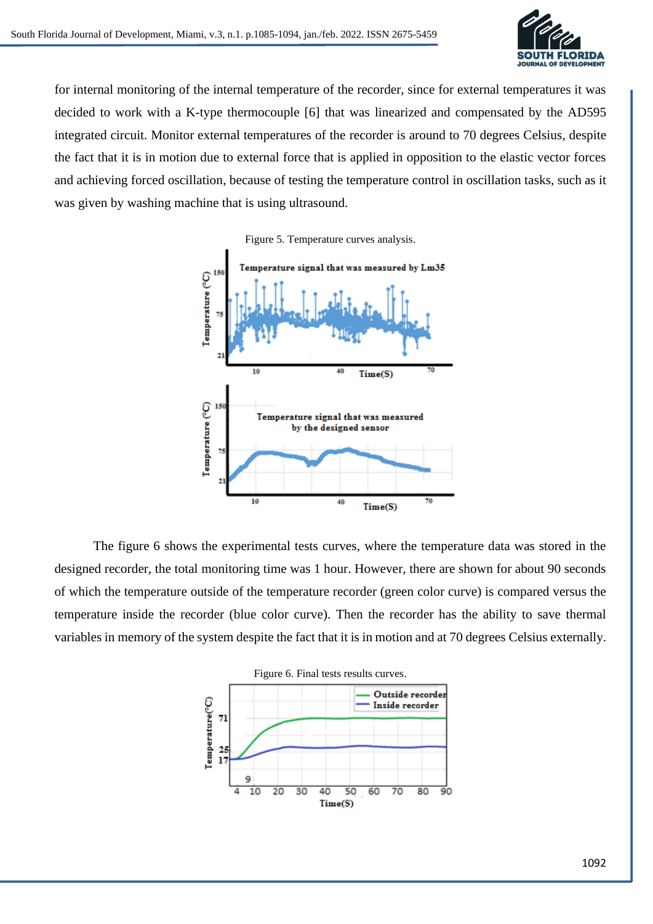

for internal monitoring of the internal temperature of the recorder, since for external temperatures it was decided to work with a K-type thermocouple [6] that was linearized and compensated by the AD595 integrated circuit. Monitor external temperatures of the recorder is around to 70 degrees Celsius, despite the fact that it is in motion due to external force that is applied in opposition to the elastic vector forces and achieving forced oscillation, because of testing the temperature control in oscillation tasks, such as it was given by washing machine that is using ultrasound.





The figure 6 shows the experimental tests curves, where the temperature data was stored in the designed recorder, the total monitoring time was 1 hour. However, there are shown for about 90 seconds of which the temperature outside of the temperature recorder (green color curve) is compared versus the temperature inside the recorder (blue color curve). Then the recorder has the ability to save thermal variables in memory of the system despite the fact that it is in motion and at 70 degrees Celsius externally.

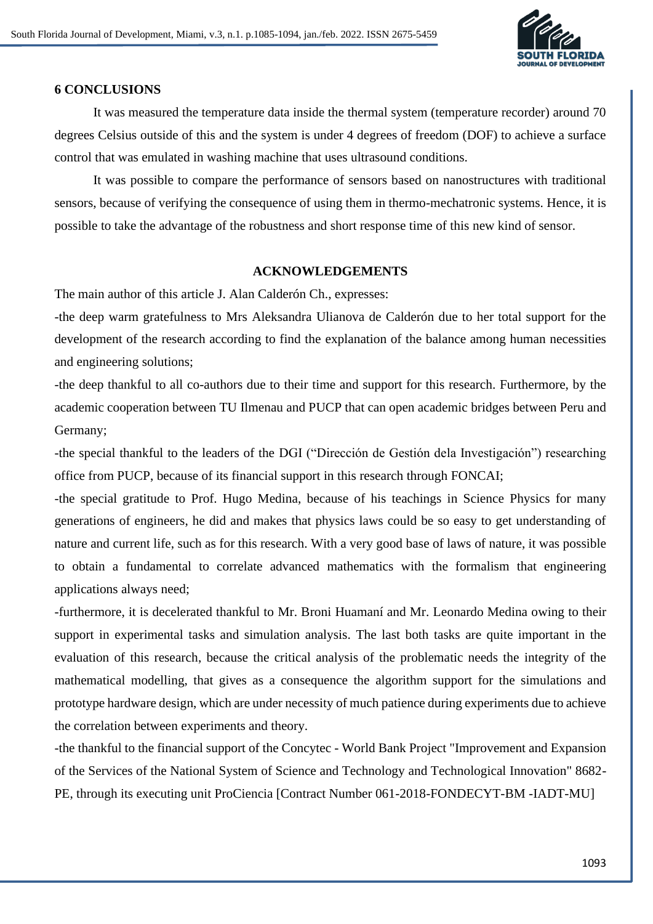

### **6 CONCLUSIONS**

It was measured the temperature data inside the thermal system (temperature recorder) around 70 degrees Celsius outside of this and the system is under 4 degrees of freedom (DOF) to achieve a surface control that was emulated in washing machine that uses ultrasound conditions.

It was possible to compare the performance of sensors based on nanostructures with traditional sensors, because of verifying the consequence of using them in thermo-mechatronic systems. Hence, it is possible to take the advantage of the robustness and short response time of this new kind of sensor.

#### **ACKNOWLEDGEMENTS**

The main author of this article J. Alan Calderón Ch., expresses:

-the deep warm gratefulness to Mrs Aleksandra Ulianova de Calderón due to her total support for the development of the research according to find the explanation of the balance among human necessities and engineering solutions;

-the deep thankful to all co-authors due to their time and support for this research. Furthermore, by the academic cooperation between TU Ilmenau and PUCP that can open academic bridges between Peru and Germany;

-the special thankful to the leaders of the DGI ("Dirección de Gestión dela Investigación") researching office from PUCP, because of its financial support in this research through FONCAI;

-the special gratitude to Prof. Hugo Medina, because of his teachings in Science Physics for many generations of engineers, he did and makes that physics laws could be so easy to get understanding of nature and current life, such as for this research. With a very good base of laws of nature, it was possible to obtain a fundamental to correlate advanced mathematics with the formalism that engineering applications always need;

-furthermore, it is decelerated thankful to Mr. Broni Huamaní and Mr. Leonardo Medina owing to their support in experimental tasks and simulation analysis. The last both tasks are quite important in the evaluation of this research, because the critical analysis of the problematic needs the integrity of the mathematical modelling, that gives as a consequence the algorithm support for the simulations and prototype hardware design, which are under necessity of much patience during experiments due to achieve the correlation between experiments and theory.

-the thankful to the financial support of the Concytec - World Bank Project "Improvement and Expansion of the Services of the National System of Science and Technology and Technological Innovation" 8682- PE, through its executing unit ProCiencia [Contract Number 061-2018-FONDECYT-BM -IADT-MU]